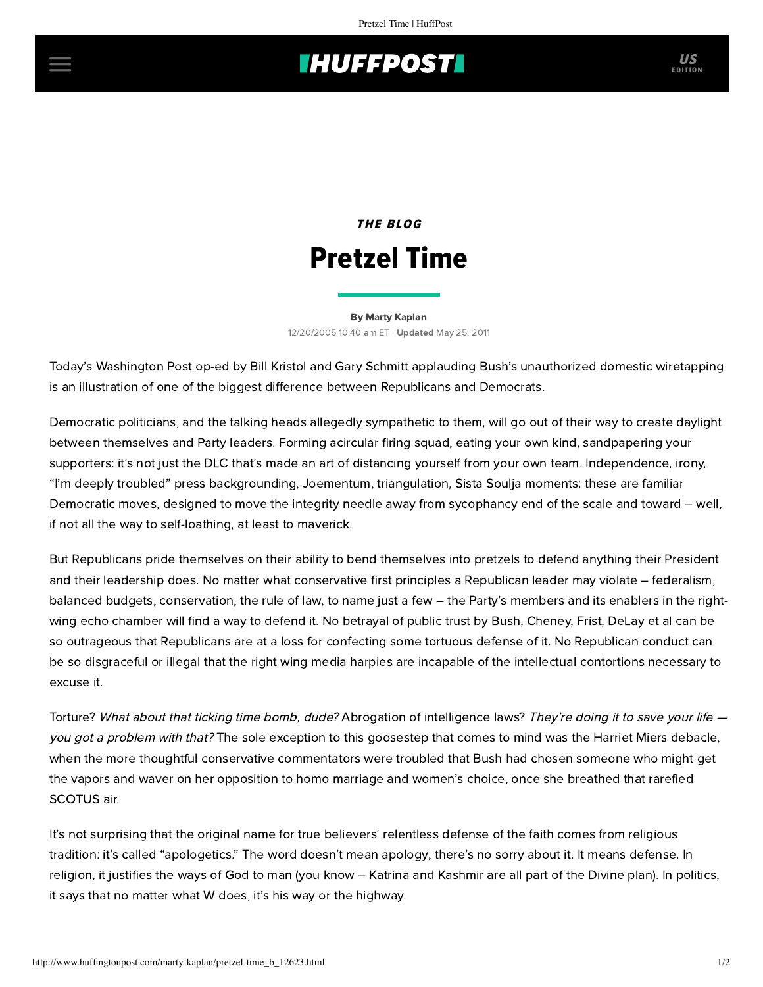# **INUFFPOSTI** US

# THE BLOG Pretzel Time

### [By Marty Kaplan](http://www.huffingtonpost.com/author/marty-kaplan) 12/20/2005 10:40 am ET | Updated May 25, 2011

Today's Washington Post [op-ed](http://www.washingtonpost.com/wp-dyn/content/article/2005/12/19/AR2005121901027.html) by Bill Kristol and Gary Schmitt applauding Bush's unauthorized domestic wiretapping is an illustration of one of the biggest difference between Republicans and Democrats.

Democratic politicians, and the talking heads allegedly sympathetic to them, will go out of their way to create daylight between themselves and Party leaders. Forming acircular firing squad, eating your own kind, sandpapering your supporters: it's not just the DLC that's made an art of distancing yourself from your own team. Independence, irony, "I'm deeply troubled" press backgrounding, Joementum, triangulation, Sista Soulja moments: these are familiar Democratic moves, designed to move the integrity needle away from sycophancy end of the scale and toward – well, if not all the way to self-loathing, at least to maverick.

But Republicans pride themselves on their ability to bend themselves into pretzels to defend anything their President and their leadership does. No matter what conservative first principles a Republican leader may violate – federalism, balanced budgets, conservation, the rule of law, to name just a few – the Party's members and its enablers in the rightwing echo chamber will find a way to defend it. No betrayal of public trust by Bush, Cheney, Frist, DeLay et al can be so outrageous that Republicans are at a loss for confecting some tortuous defense of it. No Republican conduct can be so disgraceful or illegal that the right wing media harpies are incapable of the intellectual contortions necessary to excuse it.

Torture? What about that ticking time bomb, dude? Abrogation of intelligence laws? They're doing it to save your life you got a problem with that? The sole exception to this goosestep that comes to mind was the Harriet Miers debacle, when the more thoughtful conservative commentators were troubled that Bush had chosen someone who might get the vapors and waver on her opposition to homo marriage and women's choice, once she breathed that rarefied SCOTUS air.

It's not surprising that the original name for true believers' relentless defense of the faith comes from religious tradition: it's called "apologetics." The word doesn't mean apology; there's no sorry about it. It means defense. In religion, it justifies the ways of God to man (you know – Katrina and Kashmir are all part of the Divine plan). In politics, it says that no matter what W does, it's his way or the highway.